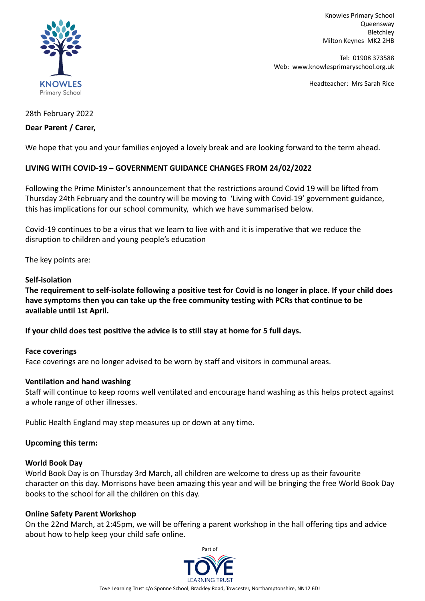

Knowles Primary School Queensway Bletchley Milton Keynes MK2 2HB

Tel: 01908 373588 Web: www.knowlesprimaryschool.org.uk

Headteacher: Mrs Sarah Rice

# 28th February 2022

# **Dear Parent / Carer,**

We hope that you and your families enjoyed a lovely break and are looking forward to the term ahead.

# **LIVING WITH COVID-19 – GOVERNMENT GUIDANCE CHANGES FROM 24/02/2022**

Following the Prime Minister's announcement that the restrictions around Covid 19 will be lifted from Thursday 24th February and the country will be moving to 'Living with Covid-19' government guidance, this has implications for our school community, which we have summarised below.

Covid-19 continues to be a virus that we learn to live with and it is imperative that we reduce the disruption to children and young people's education

The key points are:

# **Self-isolation**

**The requirement to self-isolate following a positive test for Covid is no longer in place. If your child does have symptoms then you can take up the free community testing with PCRs that continue to be available until 1st April.**

**If your child does test positive the advice is to still stay at home for 5 full days.**

# **Face coverings**

Face coverings are no longer advised to be worn by staff and visitors in communal areas.

# **Ventilation and hand washing**

Staff will continue to keep rooms well ventilated and encourage hand washing as this helps protect against a whole range of other illnesses.

Public Health England may step measures up or down at any time.

# **Upcoming this term:**

#### **World Book Day**

World Book Day is on Thursday 3rd March, all children are welcome to dress up as their favourite character on this day. Morrisons have been amazing this year and will be bringing the free World Book Day books to the school for all the children on this day.

# **Online Safety Parent Workshop**

On the 22nd March, at 2:45pm, we will be offering a parent workshop in the hall offering tips and advice about how to help keep your child safe online.